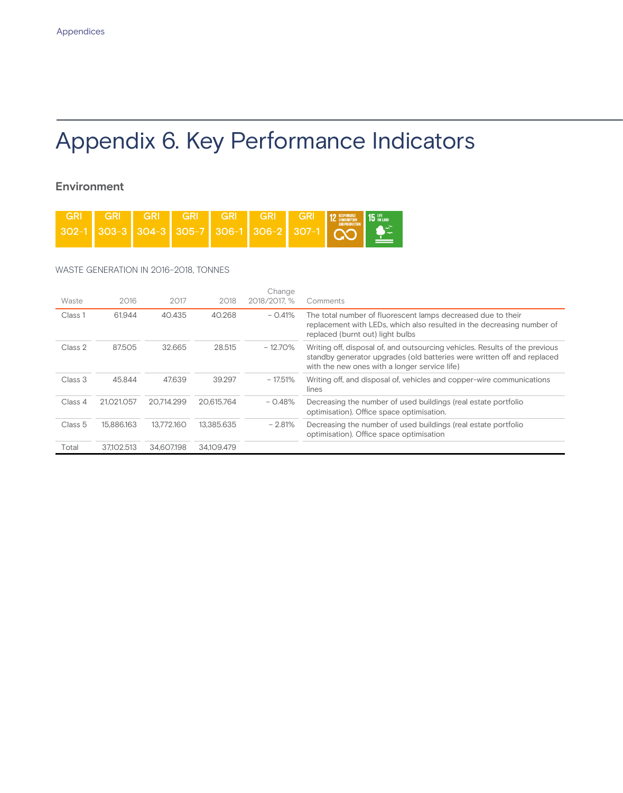# Appendix 6. Key Performance Indicators

# **Environment**

| <b>GRI</b> | <b>Examples 4 12 ASSESSMENT GRI GRI 12 ASSESSMENT DA LEG CONSUMERING A LEG CONSUMERING A LEG CONSUMERING A LEG CONSUMERING A LEG CONSUMERING A LEG CONSUMERING A LEG CONSUMERING A LEG CONSUMERING A LEG CONSUMERING A LEG CONSU</b> |  |  |  |  |
|------------|--------------------------------------------------------------------------------------------------------------------------------------------------------------------------------------------------------------------------------------|--|--|--|--|
|            | $302-1$ 303-3 304-3 305-7 306-1 306-2 307-1 $\bigcirc$                                                                                                                                                                               |  |  |  |  |

### WASTE GENERATION IN 2016–2018, TONNES

| Waste   | 2016       | 2017       | 2018       | Change<br>2018/2017. % | Comments                                                                                                                                                                                                |
|---------|------------|------------|------------|------------------------|---------------------------------------------------------------------------------------------------------------------------------------------------------------------------------------------------------|
| Class 1 | 61.944     | 40.435     | 40.268     | $-0.41%$               | The total number of fluorescent lamps decreased due to their<br>replacement with LEDs, which also resulted in the decreasing number of<br>replaced (burnt out) light bulbs                              |
| Class 2 | 87.505     | 32.665     | 28.515     | $-12.70\%$             | Writing off, disposal of, and outsourcing vehicles. Results of the previous<br>standby generator upgrades (old batteries were written off and replaced<br>with the new ones with a longer service life) |
| Class 3 | 45.844     | 47.639     | 39.297     | $-17.51%$              | Writing off, and disposal of, vehicles and copper-wire communications<br>lines                                                                                                                          |
| Class 4 | 21.021.057 | 20.714.299 | 20.615.764 | $-0.48%$               | Decreasing the number of used buildings (real estate portfolio<br>optimisation). Office space optimisation.                                                                                             |
| Class 5 | 15.886.163 | 13.772.160 | 13.385.635 | $-2.81%$               | Decreasing the number of used buildings (real estate portfolio<br>optimisation). Office space optimisation                                                                                              |
| Total   | 37.102.513 | 34.607.198 | 34.109.479 |                        |                                                                                                                                                                                                         |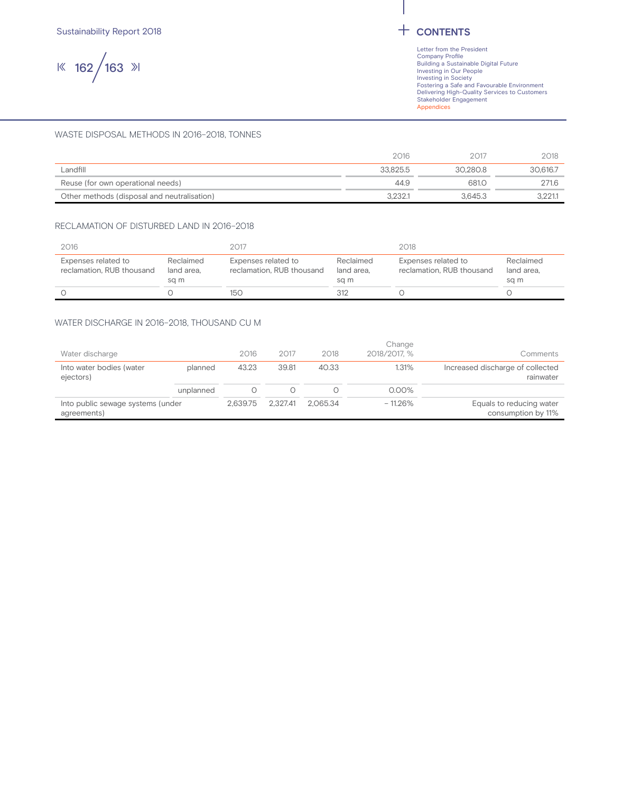$|$  162 / 163  $|$ 

#### WASTE DISPOSAL METHODS IN 2016–2018, TONNES

|                                             | 2016     | 2017     | 2018     |
|---------------------------------------------|----------|----------|----------|
| Landfill                                    | 33.825.5 | 30.280.8 | 30.616.7 |
| Reuse (for own operational needs)           | 44.9     | 681.0    | 271.6    |
| Other methods (disposal and neutralisation) | 3.232.1  | 3.645.3  |          |

#### RECLAMATION OF DISTURBED LAND IN 2016–2018

| 2016                                             |                                 | 2017                                             |                                 | 2018                                             |                                 |  |  |
|--------------------------------------------------|---------------------------------|--------------------------------------------------|---------------------------------|--------------------------------------------------|---------------------------------|--|--|
| Expenses related to<br>reclamation. RUB thousand | Reclaimed<br>land area.<br>sa m | Expenses related to<br>reclamation. RUB thousand | Reclaimed<br>land area.<br>sa m | Expenses related to<br>reclamation. RUB thousand | Reclaimed<br>land area.<br>sa m |  |  |
|                                                  |                                 | 150                                              | 312                             |                                                  |                                 |  |  |

#### WATER DISCHARGE IN 2016–2018, THOUSAND CU M

| Into public sewage systems (under     |           | 2.639.75 | 2.327.41 | 2.065.34 | $-11.26%$              | Equals to reducing water                      |
|---------------------------------------|-----------|----------|----------|----------|------------------------|-----------------------------------------------|
|                                       |           |          |          |          |                        |                                               |
|                                       | unplanned |          |          |          | $0.00\%$               |                                               |
| Into water bodies (water<br>ejectors) | planned   | 43.23    | 39.81    | 40.33    | 1.31%                  | Increased discharge of collected<br>rainwater |
| Water discharge                       |           | 2016     | 2017     | 2018     | Change<br>2018/2017. % | Comments                                      |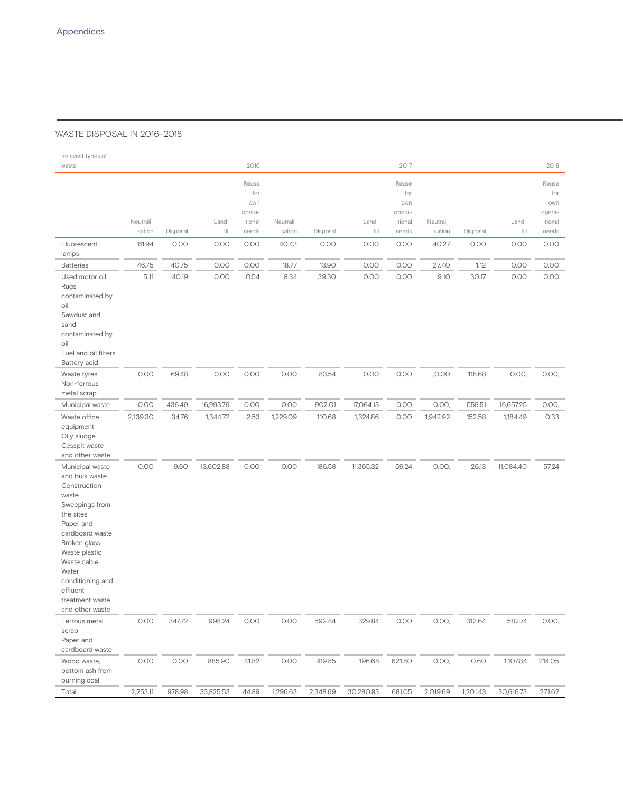### WASTE DISPOSAL IN 2016–2018

| Relevant types of                                                                                                                                                                                                                                        |                     |          |               |                                                  |                     |          |               |                                                  |                     |          |               |                                                  |
|----------------------------------------------------------------------------------------------------------------------------------------------------------------------------------------------------------------------------------------------------------|---------------------|----------|---------------|--------------------------------------------------|---------------------|----------|---------------|--------------------------------------------------|---------------------|----------|---------------|--------------------------------------------------|
| waste                                                                                                                                                                                                                                                    |                     |          |               | 2016                                             |                     |          |               | 2017                                             |                     |          |               | 2018                                             |
|                                                                                                                                                                                                                                                          | Neutrali-<br>sation | Disposal | Land-<br>fill | Reuse<br>for<br>own<br>opera-<br>tional<br>needs | Neutrali-<br>sation | Disposal | Land-<br>fill | Reuse<br>for<br>own<br>opera-<br>tional<br>needs | Neutrali-<br>sation | Disposal | Land-<br>fill | Reuse<br>for<br>own<br>opera-<br>tional<br>needs |
| Fluorescent                                                                                                                                                                                                                                              | 61.94               | 0.00     | 0.00          | 0.00                                             | 40.43               | 0.00     | 0.00          | 0.00                                             | 40.27               | 0.00     | 0.00          | 0.00                                             |
| lamps<br><b>Batteries</b>                                                                                                                                                                                                                                | 46.75               | 40.75    | 0.00          | 0.00                                             | 18.77               | 13.90    | 0.00          | 0.00                                             | 27.40               | 1.12     | 0.00          | 0.00                                             |
| Used motor oil<br>Rags<br>contaminated by<br>oil<br>Sawdust and<br>sand<br>contaminated by<br>oil<br>Fuel and oil filters                                                                                                                                | 5.11                | 40.19    | 0.00          | 0.54                                             | 8.34                | 39.30    | 0.00          | 0.00                                             | 9.10                | 30.17    | 0.00          | 0.00                                             |
| Battery acid<br>Waste tyres<br>Non-ferrous<br>metal scrap                                                                                                                                                                                                | 0.00                | 69.48    | 0.00          | 0.00                                             | 0.00                | 83.54    | 0.00          | 0.00                                             | ,0.00               | 118.68   | 0.00,         | 0.00,                                            |
| Municipal waste                                                                                                                                                                                                                                          | 0.00                | 436.49   | 16,993.79     | 0.00                                             | 0.00                | 902.01   | 17,064.13     | 0.00                                             | 0.00,               | 559.51   | 16,657.25     | 0.00,                                            |
| Waste office<br>equipment<br>Oily sludge<br>Cesspit waste<br>and other waste                                                                                                                                                                             | 2,139.30            | 34.76    | 1,344.72      | 2.53                                             | 1,229.09            | 110.68   | 1,324.86      | 0.00                                             | 1,942.92            | 152.58   | 1,184.49      | 0.33                                             |
| Municipal waste<br>and bulk waste<br>Construction<br>waste<br>Sweepings from<br>the sites<br>Paper and<br>cardboard waste<br>Broken glass<br>Waste plastic<br>Waste cable<br>Water<br>conditioning and<br>effluent<br>treatment waste<br>and other waste | 0.00                | 9.60     | 13,602.88     | 0.00                                             | 0.00                | 186.58   | 11,365.32     | 59.24                                            | 0.00,               | 26.13    | 11,084.40     | 57.24                                            |
| Ferrous metal<br>scrap<br>Paper and<br>cardboard waste                                                                                                                                                                                                   | 0.00                | 347.72   | 998.24        | 0.00                                             | 0.00                | 592.84   | 329.84        | 0.00                                             | 0.00,               | 312.64   | 582.74        | 0.00,                                            |
| Wood waste,<br>bottom ash from<br>burning coal                                                                                                                                                                                                           | 0.00                | 0.00     | 885.90        | 41.82                                            | 0.00                | 419.85   | 196.68        | 621.80                                           | 0.00,               | 0.60     | 1,107.84      | 214.05                                           |
| Total                                                                                                                                                                                                                                                    | 2,253.11            | 978.98   | 33,825.53     | 44.89                                            | 1,296.63            | 2,348.69 | 30,280.83     | 681.05                                           | 2,019.69            | 1,201.43 | 30,616.73     | 271.62                                           |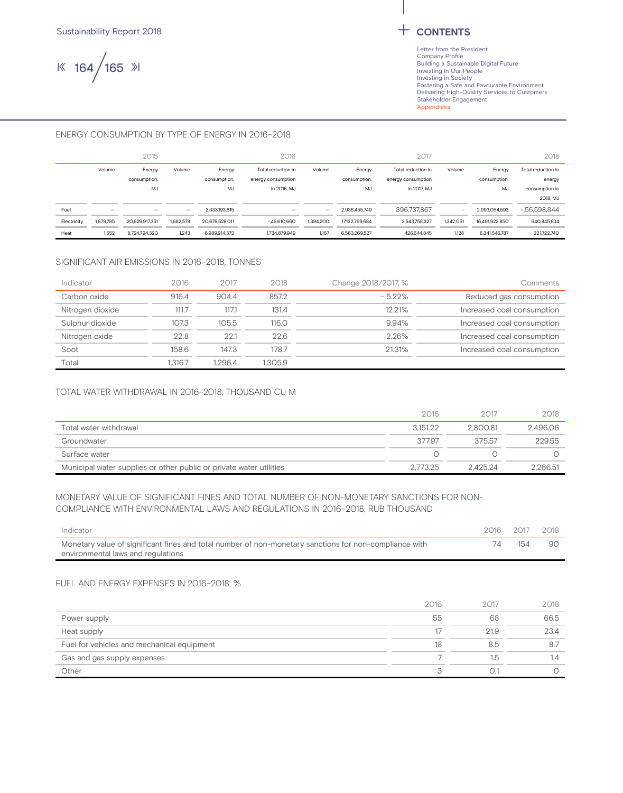$|$  164 / 165  $|$ 

#### ENERGY CONSUMPTION BY TYPE OF ENERGY IN 2016–2018

|             |                          | 2015                     |                   |                   | 2016               |           |                | 2017               |           |                | 2018               |
|-------------|--------------------------|--------------------------|-------------------|-------------------|--------------------|-----------|----------------|--------------------|-----------|----------------|--------------------|
|             | Volume                   | Energy                   | Volume            | Energy            | Total reduction in | Volume    | Energy         | Total reduction in | Volume    | Energy         | Total reduction in |
|             |                          | consumption,             |                   | consumption,      | energy consumption |           | consumption,   | energy consumption |           | consumption.   | energy             |
|             |                          | MJ                       |                   | MJ<br>in 2016. MJ |                    |           | MJ             | in 2017. MJ        |           | MJ             | consumption in     |
|             |                          |                          |                   |                   |                    |           |                |                    |           |                | 2018, MJ           |
| Fuel        | $\overline{\phantom{a}}$ | $\overline{\phantom{m}}$ | $\qquad \qquad -$ | 3.333.193.615     | -                  | -         | 2.936.455.749  | 396.737.867        |           | 2,993,054,593  | $-56.598.844$      |
| Electricity | 1,678,785                | 20,629,917,351           | 1.682.578         | 20.676.528.011    | $-46,610,660$      | 1,394,200 | 17,132,769,684 | 3.543.758.327      | 1.342.051 | 16.491.923.850 | 640,845,834        |
| Heat        | 1,552                    | 8.724.794.320            | 1,243             | 6.989.914.372     | 1.734.879.949      | 1,167     | 6.563.269.527  | 426.644.845        | 1.128     | 6.341.546.787  | 221722.740         |

#### SIGNIFICANT AIR EMISSIONS IN 2016–2018, TONNES

| Indicator        | 2016    | 2017    | 2018    | Change 2018/2017, % | Comments                   |
|------------------|---------|---------|---------|---------------------|----------------------------|
| Carbon oxide     | 916.4   | 904.4   | 857.2   | $-5.22%$            | Reduced gas consumption    |
| Nitrogen dioxide | 111.7   | 117.1   | 131.4   | 12.21%              | Increased coal consumption |
| Sulphur dioxide  | 107.3   | 105.5   | 116.0   | 9.94%               | Increased coal consumption |
| Nitrogen oxide   | 22.8    | 22.1    | 22.6    | 2.26%               | Increased coal consumption |
| Soot             | 158.6   | 147.3   | 178.7   | 21.31%              | Increased coal consumption |
| Total            | 1.316.7 | 1.296.4 | 1.305.9 |                     |                            |

#### TOTAL WATER WITHDRAWAL IN 2016–2018, THOUSAND CU M

|                                                                     | 2016     | 2017     | 2018     |
|---------------------------------------------------------------------|----------|----------|----------|
| Total water withdrawal                                              | 3.151.22 | 2.800.81 | 2.496.06 |
| Groundwater                                                         | 377.97   | 37557    | 229.55   |
| Surface water                                                       |          |          |          |
| Municipal water supplies or other public or private water utilities | 2.773.25 | 2.425.24 | 2,266.51 |

#### MONETARY VALUE OF SIGNIFICANT FINES AND TOTAL NUMBER OF NON-MONETARY SANCTIONS FOR NON-COMPLIANCE WITH ENVIRONMENTAL LAWS AND REGULATIONS IN 2016–2018, RUB THOUSAND

| Indicator                                                                                              |    | 2016 2017 | 2018 |
|--------------------------------------------------------------------------------------------------------|----|-----------|------|
| Monetary value of significant fines and total number of non-monetary sanctions for non-compliance with | 14 | 154       | 90   |
| environmental laws and regulations                                                                     |    |           |      |

#### FUEL AND ENERGY EXPENSES IN 2016–2018, %

|                                            | 2016 | 2017 | 2018 |
|--------------------------------------------|------|------|------|
| Power supply                               | 55   | 68   | 66.5 |
| Heat supply                                | 17   | 21.9 | 23.4 |
| Fuel for vehicles and mechanical equipment | 18   | 8.5  |      |
| Gas and gas supply expenses                |      | 1.5  | 1.4  |
| Other                                      |      |      |      |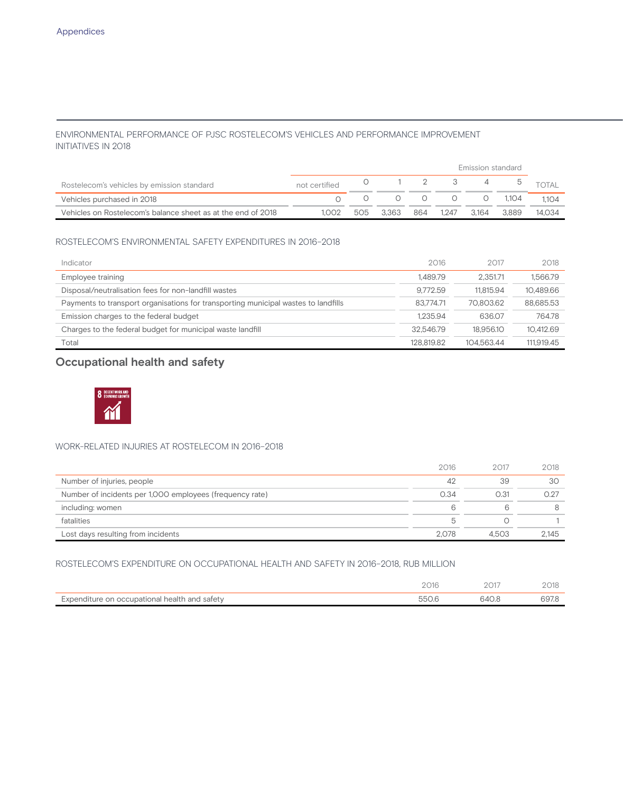### ENVIRONMENTAL PERFORMANCE OF PJSC ROSTELECOM'S VEHICLES AND PERFORMANCE IMPROVEMENT INITIATIVES IN 2018

|                                                              |               |     |       |     | Emission standard |       |                              |        |
|--------------------------------------------------------------|---------------|-----|-------|-----|-------------------|-------|------------------------------|--------|
| Rostelecom's vehicles by emission standard                   | not certified |     |       |     |                   |       | $0 \t 1 \t 2 \t 3 \t 4 \t 5$ |        |
| Vehicles purchased in 2018                                   |               |     |       |     |                   |       | $0 \t 1,104$                 | 1104   |
| Vehicles on Rostelecom's balance sheet as at the end of 2018 | 1.002         | 505 | 3.363 | 864 | 1.247             | 3.164 | 3.889                        | 14.034 |

#### ROSTELECOM'S ENVIRONMENTAL SAFETY EXPENDITURES IN 2016–2018

| Indicator                                                                          | 2016       | 2017       | 2018       |
|------------------------------------------------------------------------------------|------------|------------|------------|
| Employee training                                                                  | 1.489.79   | 2.351.71   | 1.566.79   |
| Disposal/neutralisation fees for non-landfill wastes                               | 9.772.59   | 11.815.94  | 10.489.66  |
| Payments to transport organisations for transporting municipal wastes to landfills | 83.774.71  | 70.803.62  | 88.685.53  |
| Emission charges to the federal budget                                             | 1.235.94   | 636.07     | 764.78     |
| Charges to the federal budget for municipal waste landfill                         | 32.546.79  | 18.956.10  | 10.412.69  |
| Total                                                                              | 128.819.82 | 104.563.44 | 111.919.45 |

# **Occupational health and safety**



### WORK-RELATED INJURIES AT ROSTELECOM IN 2016–2018

|                                                          | 2016  | 2017  | 2018  |
|----------------------------------------------------------|-------|-------|-------|
| Number of injuries, people                               | 42    | 39    | 30    |
| Number of incidents per 1,000 employees (frequency rate) | 0.34  | 0.31  | O 27  |
| including: women                                         | 6     |       | 8     |
| fatalities                                               | b     |       |       |
| Lost days resulting from incidents                       | 2.078 | 4.503 | 2.145 |

#### ROSTELECOM'S EXPENDITURE ON OCCUPATIONAL HEALTH AND SAFETY IN 2016–2018, RUB MILLION

|                                               | 2016 |       | 018   |
|-----------------------------------------------|------|-------|-------|
| Expenditure on occupational health and safety |      | 640.8 | 697.8 |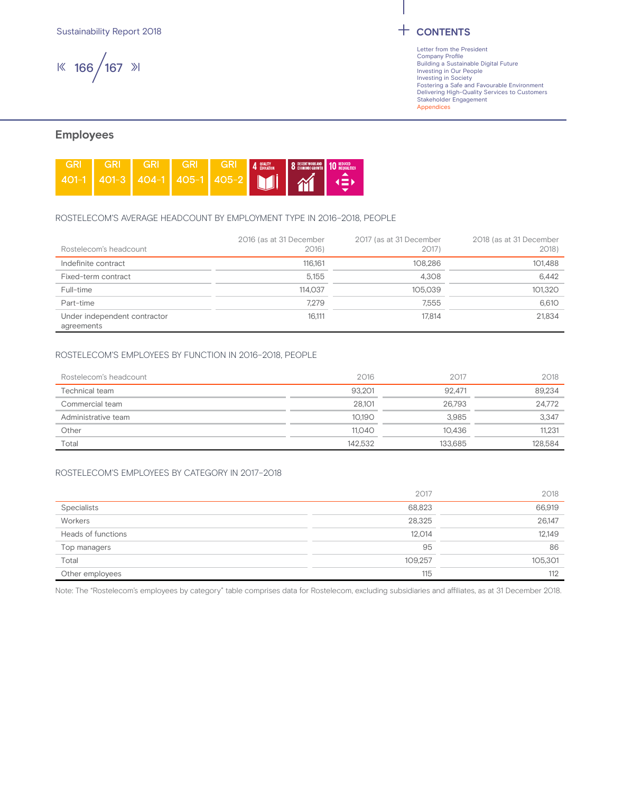Sustainability Report 2018 **CONTENTS** 

166 167

Letter from the President Company Profile Building a Sustainable Digital Future Investing in Our People Investing in Society Fostering a Safe and Favourable Environment Delivering High-Quality Services to Customers Stakeholder Engagement Appendices

## **Employees**



#### ROSTELECOM'S AVERAGE HEADCOUNT BY EMPLOYMENT TYPE IN 2016–2018, PEOPLE

| Rostelecom's headcount                     | 2016 (as at 31 December<br>2016) | 2017 (as at 31 December<br>2017) | 2018 (as at 31 December<br>2018) |
|--------------------------------------------|----------------------------------|----------------------------------|----------------------------------|
| Indefinite contract                        | 116.161                          | 108.286                          | 101.488                          |
| Fixed-term contract                        | 5.155                            | 4.308                            | 6.442                            |
| Full-time                                  | 114.037                          | 105.039                          | 101,320                          |
| Part-time                                  | 7.279                            | 7.555                            | 6.610                            |
| Under independent contractor<br>agreements | 16,111                           | 17.814                           | 21.834                           |

#### ROSTELECOM'S EMPLOYEES BY FUNCTION IN 2016–2018, PEOPLE

| Rostelecom's headcount | 2016    | 2017    | 2018    |
|------------------------|---------|---------|---------|
| Technical team         | 93.201  | 92.471  | 89.234  |
| Commercial team        | 28,101  | 26.793  | 24,772  |
| Administrative team    | 10.190  | 3.985   | 3,347   |
| Other                  | 11.040  | 10.436  | 11.231  |
| Total                  | 142.532 | 133.685 | 128.584 |

#### ROSTELECOM'S EMPLOYEES BY CATEGORY IN 2017–2018

|                    | 2017    | 2018    |
|--------------------|---------|---------|
| <b>Specialists</b> | 68,823  | 66,919  |
| Workers            | 28,325  | 26,147  |
| Heads of functions | 12,014  | 12,149  |
| Top managers       | 95      | 86      |
| Total              | 109,257 | 105,301 |
| Other employees    | 115     | 112     |

Note: The "Rostelecom's employees by category" table comprises data for Rostelecom, excluding subsidiaries and affiliates, as at 31 December 2018.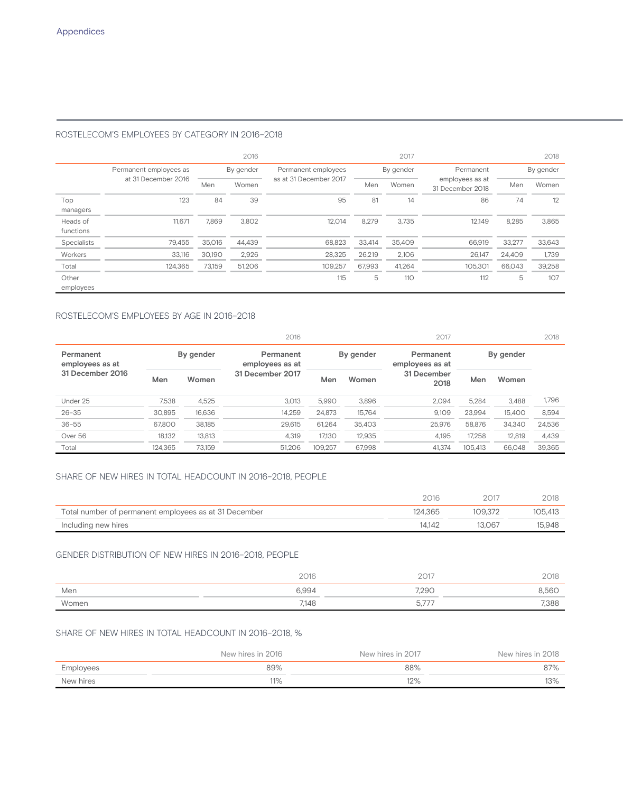#### ROSTELECOM'S EMPLOYEES BY CATEGORY IN 2016–2018

|             |                        |        | 2016      | 2017                   |        |                        |                                     |           | 2018   |
|-------------|------------------------|--------|-----------|------------------------|--------|------------------------|-------------------------------------|-----------|--------|
|             | Permanent employees as |        | By gender | Permanent employees    |        | Permanent<br>By gender |                                     | By gender |        |
|             | at 31 December 2016    | Men    | Women     | as at 31 December 2017 | Men    | Women                  | employees as at<br>31 December 2018 | Men       | Women  |
| Top         | 123                    | 84     | 39        | 95                     | 81     | 14                     | 86                                  | 74        | 12     |
| managers    |                        |        |           |                        |        |                        |                                     |           |        |
| Heads of    | 11.671                 | 7.869  | 3,802     | 12.014                 | 8.279  | 3.735                  | 12.149                              | 8,285     | 3,865  |
| functions   |                        |        |           |                        |        |                        |                                     |           |        |
| Specialists | 79.455                 | 35,016 | 44,439    | 68.823                 | 33.414 | 35.409                 | 66,919                              | 33,277    | 33,643 |
| Workers     | 33,116                 | 30.190 | 2,926     | 28.325                 | 26,219 | 2,106                  | 26.147                              | 24,409    | 1,739  |
| Total       | 124,365                | 73.159 | 51.206    | 109.257                | 67.993 | 41,264                 | 105.301                             | 66.043    | 39,258 |
| Other       |                        |        |           | 115                    | 5      | 110                    | 112                                 | 5         | 107    |
| employees   |                        |        |           |                        |        |                        |                                     |           |        |

### ROSTELECOM'S EMPLOYEES BY AGE IN 2016–2018

|                              |         |           | 2016                         |                                           |        | 2017                |         |        | 2018   |
|------------------------------|---------|-----------|------------------------------|-------------------------------------------|--------|---------------------|---------|--------|--------|
| Permanent<br>employees as at |         | By gender | Permanent<br>employees as at | By gender<br>Permanent<br>employees as at |        | By gender           |         |        |        |
| 31 December 2016             | Men     | Women     | 31 December 2017             | Men                                       | Women  | 31 December<br>2018 | Men     | Women  |        |
| Under 25                     | 7.538   | 4,525     | 3.013                        | 5.990                                     | 3.896  | 2.094               | 5.284   | 3.488  | 1,796  |
| $26 - 35$                    | 30.895  | 16.636    | 14.259                       | 24.873                                    | 15.764 | 9.109               | 23.994  | 15.400 | 8,594  |
| $36 - 55$                    | 67.800  | 38.185    | 29.615                       | 61.264                                    | 35.403 | 25.976              | 58,876  | 34,340 | 24,536 |
| Over 56                      | 18.132  | 13,813    | 4.319                        | 17.130                                    | 12,935 | 4.195               | 17.258  | 12,819 | 4,439  |
| Total                        | 124.365 | 73.159    | 51.206                       | 109.257                                   | 67.998 | 41.374              | 105.413 | 66.048 | 39,365 |

#### SHARE OF NEW HIRES IN TOTAL HEADCOUNT IN 2016–2018, PEOPLE

|                                                       | 2016    | 2017   | 2018    |
|-------------------------------------------------------|---------|--------|---------|
| Total number of permanent employees as at 31 December | 124.365 | 109372 | 105.413 |
| Including new hires                                   | 14.142  | 13.067 | 15.948  |

#### GENDER DISTRIBUTION OF NEW HIRES IN 2016–2018, PEOPLE

|       | 2016  | 2017                         | 2018  |
|-------|-------|------------------------------|-------|
| Men   | 6.994 | 7,290                        | 8,56C |
| Women | 7,148 | $- - - -$<br>$\cup, \wedge,$ | 7.388 |

#### SHARE OF NEW HIRES IN TOTAL HEADCOUNT IN 2016–2018, %

|           | New hires in 2016 | New hires in 2017 | New hires in 2018 |
|-----------|-------------------|-------------------|-------------------|
| Employees | 89%               | 88%               | 87%               |
| New hires | 11%               | 12%               | 13%               |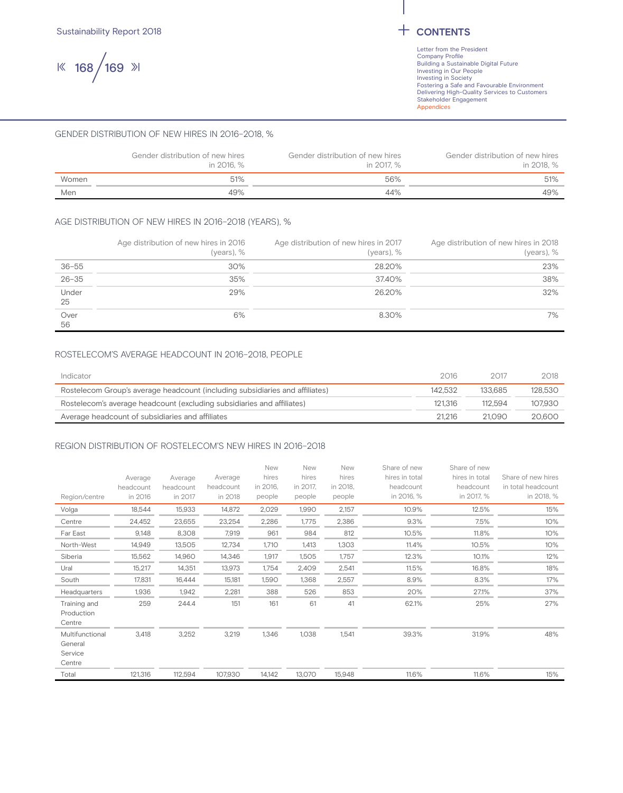168 169

#### GENDER DISTRIBUTION OF NEW HIRES IN 2016–2018, %

|       | Gender distribution of new hires<br>in 2016. % | Gender distribution of new hires<br>in 2017. % | Gender distribution of new hires<br>in 2018. % |
|-------|------------------------------------------------|------------------------------------------------|------------------------------------------------|
| Women | 51%                                            | 56%                                            | 51%                                            |
| Men   | 49%                                            | 44%                                            | 49%                                            |

#### AGE DISTRIBUTION OF NEW HIRES IN 2016–2018 (YEARS), %

|             | Age distribution of new hires in 2016<br>(years), $%$ | Age distribution of new hires in 2017<br>(years), $%$ | Age distribution of new hires in 2018<br>(years), $%$ |
|-------------|-------------------------------------------------------|-------------------------------------------------------|-------------------------------------------------------|
| $36 - 55$   | 30%                                                   | 28.20%                                                | 23%                                                   |
| $26 - 35$   | 35%                                                   | 37.40%                                                | 38%                                                   |
| Under<br>25 | 29%                                                   | 26.20%                                                | 32%                                                   |
| Over<br>56  | 6%                                                    | 8.30%                                                 | 7%                                                    |

#### ROSTELECOM'S AVERAGE HEADCOUNT IN 2016–2018, PEOPLE

| Indicator                                                                    | 2016    | 2017    | 2018    |
|------------------------------------------------------------------------------|---------|---------|---------|
| Rostelecom Group's average headcount (including subsidiaries and affiliates) | 142.532 | 133685  | 128.530 |
| Rostelecom's average headcount (excluding subsidiaries and affiliates)       | 121.316 | 112.594 | 107.930 |
| Average headcount of subsidiaries and affiliates                             | 21.216  | 21.090  | 20.600  |

#### REGION DISTRIBUTION OF ROSTELECOM'S NEW HIRES IN 2016–2018

|                 |           |           |           | New      | New      | New      | Share of new   | Share of new   |                    |
|-----------------|-----------|-----------|-----------|----------|----------|----------|----------------|----------------|--------------------|
|                 | Average   | Average   | Average   | hires    | hires    | hires    | hires in total | hires in total | Share of new hires |
|                 | headcount | headcount | headcount | in 2016, | in 2017, | in 2018, | headcount      | headcount      | in total headcount |
| Region/centre   | in 2016   | in 2017   | in 2018   | people   | people   | people   | in 2016, %     | in 2017, %     | in 2018, %         |
| Volga           | 18.544    | 15,933    | 14,872    | 2,029    | 1,990    | 2,157    | 10.9%          | 12.5%          | 15%                |
| Centre          | 24,452    | 23,655    | 23,254    | 2,286    | 1,775    | 2,386    | 9.3%           | 7.5%           | 10%                |
| Far East        | 9,148     | 8,308     | 7,919     | 961      | 984      | 812      | 10.5%          | 11.8%          | 10%                |
| North-West      | 14,949    | 13,505    | 12,734    | 1,710    | 1,413    | 1,303    | 11.4%          | 10.5%          | 10%                |
| Siberia         | 15,562    | 14,960    | 14,346    | 1,917    | 1,505    | 1,757    | 12.3%          | 10.1%          | 12%                |
| Ural            | 15,217    | 14,351    | 13,973    | 1,754    | 2,409    | 2,541    | 11.5%          | 16.8%          | 18%                |
| South           | 17,831    | 16,444    | 15,181    | 1,590    | 1,368    | 2,557    | 8.9%           | 8.3%           | 17%                |
| Headquarters    | 1,936     | 1,942     | 2,281     | 388      | 526      | 853      | 20%            | 27.1%          | 37%                |
| Training and    | 259       | 244.4     | 151       | 161      | 61       | 41       | 62.1%          | 25%            | 27%                |
| Production      |           |           |           |          |          |          |                |                |                    |
| Centre          |           |           |           |          |          |          |                |                |                    |
| Multifunctional | 3,418     | 3,252     | 3,219     | 1,346    | 1,038    | 1,541    | 39.3%          | 31.9%          | 48%                |
| General         |           |           |           |          |          |          |                |                |                    |
| Service         |           |           |           |          |          |          |                |                |                    |
| Centre          |           |           |           |          |          |          |                |                |                    |
| Total           | 121,316   | 112,594   | 107,930   | 14,142   | 13,070   | 15,948   | 11.6%          | 11.6%          | 15%                |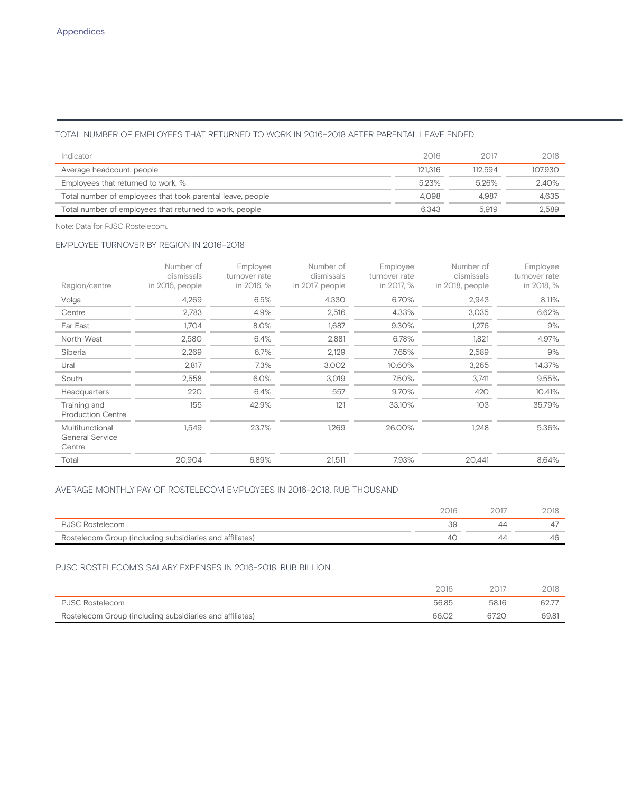#### TOTAL NUMBER OF EMPLOYEES THAT RETURNED TO WORK IN 2016–2018 AFTER PARENTAL LEAVE ENDED

| Indicator                                                  | 2016    | 2017    | 2018    |
|------------------------------------------------------------|---------|---------|---------|
| Average headcount, people                                  | 121.316 | 112.594 | 107.930 |
| Employees that returned to work, %                         | 5.23%   | 526%    | 2.40%   |
| Total number of employees that took parental leave, people | 4.098   | 4.987   | 4.635   |
| Total number of employees that returned to work, people    | 6.343   | 5.919   | 2.589   |

Note: Data for PJSC Rostelecom.

#### EMPLOYEE TURNOVER BY REGION IN 2016–2018

| Region/centre                                       | Number of<br>dismissals<br>in 2016, people | Employee<br>turnover rate<br>in 2016, % | Number of<br>dismissals<br>in 2017, people | Employee<br>turnover rate<br>in 2017, % | Number of<br>dismissals<br>in 2018, people | Employee<br>turnover rate<br>in 2018, % |
|-----------------------------------------------------|--------------------------------------------|-----------------------------------------|--------------------------------------------|-----------------------------------------|--------------------------------------------|-----------------------------------------|
| Volga                                               | 4,269                                      | 6.5%                                    | 4,330                                      | 6.70%                                   | 2,943                                      | 8.11%                                   |
| Centre                                              | 2,783                                      | 4.9%                                    | 2,516                                      | 4.33%                                   | 3.035                                      | 6.62%                                   |
| Far East                                            | 1,704                                      | 8.0%                                    | 1,687                                      | 9.30%                                   | 1,276                                      | 9%                                      |
| North-West                                          | 2,580                                      | 6.4%                                    | 2,881                                      | 6.78%                                   | 1,821                                      | 4.97%                                   |
| Siberia                                             | 2,269                                      | 6.7%                                    | 2,129                                      | 7.65%                                   | 2,589                                      | 9%                                      |
| Ural                                                | 2,817                                      | 7.3%                                    | 3,002                                      | 10.60%                                  | 3,265                                      | 14.37%                                  |
| South                                               | 2,558                                      | 6.0%                                    | 3,019                                      | 7.50%                                   | 3,741                                      | 9.55%                                   |
| Headquarters                                        | 220                                        | 6.4%                                    | 557                                        | 9.70%                                   | 420                                        | 10.41%                                  |
| Training and<br><b>Production Centre</b>            | 155                                        | 42.9%                                   | 121                                        | 33.10%                                  | 103                                        | 35.79%                                  |
| Multifunctional<br><b>General Service</b><br>Centre | 1,549                                      | 23.7%                                   | 1,269                                      | 26.00%                                  | 1,248                                      | 5.36%                                   |
| Total                                               | 20,904                                     | 6.89%                                   | 21,511                                     | 7.93%                                   | 20,441                                     | 8.64%                                   |

### AVERAGE MONTHLY PAY OF ROSTELECOM EMPLOYEES IN 2016–2018, RUB THOUSAND

| <b>PJSC Rostelecom</b>                                   |  |    |
|----------------------------------------------------------|--|----|
| Rostelecom Group (including subsidiaries and affiliates) |  | 46 |

#### PJSC ROSTELECOM'S SALARY EXPENSES IN 2016–2018, RUB BILLION

|                                                          | 2016  |       | 2018  |
|----------------------------------------------------------|-------|-------|-------|
| <b>PJSC Rostelecom</b>                                   | 56.85 | 58.16 | 62.7  |
| Rostelecom Group (including subsidiaries and affiliates) | 66.02 |       | 69.81 |